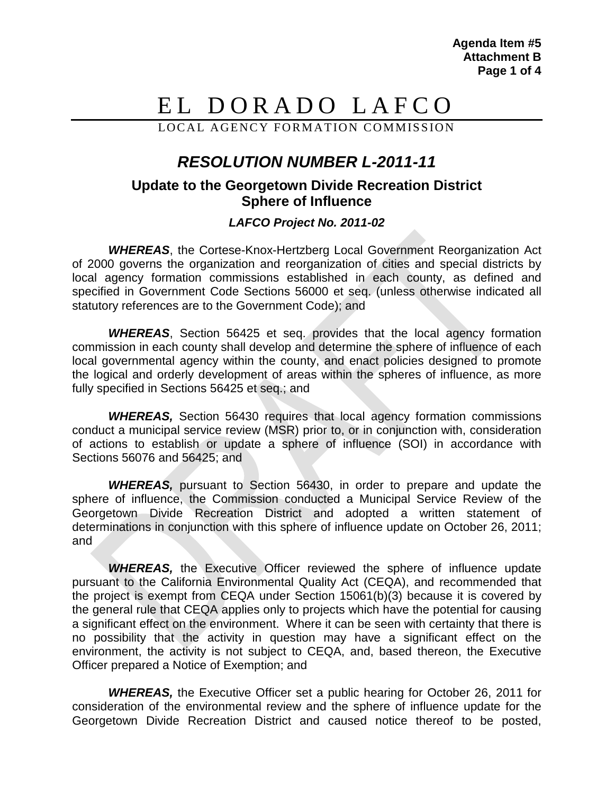**Agenda Item #5 Attachment B Page 1 of 4**

# EL DORADO LAFCO

LOCAL AGENCY FORMATION COMMISSION

# *RESOLUTION NUMBER L-2011-11*

# **Update to the Georgetown Divide Recreation District Sphere of Influence**

## *LAFCO Project No. 2011-02*

*WHEREAS*, the Cortese-Knox-Hertzberg Local Government Reorganization Act of 2000 governs the organization and reorganization of cities and special districts by local agency formation commissions established in each county, as defined and specified in Government Code Sections 56000 et seq. (unless otherwise indicated all statutory references are to the Government Code); and

*WHEREAS*, Section 56425 et seq. provides that the local agency formation commission in each county shall develop and determine the sphere of influence of each local governmental agency within the county, and enact policies designed to promote the logical and orderly development of areas within the spheres of influence, as more fully specified in Sections 56425 et seq.; and

*WHEREAS,* Section 56430 requires that local agency formation commissions conduct a municipal service review (MSR) prior to, or in conjunction with, consideration of actions to establish or update a sphere of influence (SOI) in accordance with Sections 56076 and 56425; and

*WHEREAS,* pursuant to Section 56430, in order to prepare and update the sphere of influence, the Commission conducted a Municipal Service Review of the Georgetown Divide Recreation District and adopted a written statement of determinations in conjunction with this sphere of influence update on October 26, 2011; and

*WHEREAS,* the Executive Officer reviewed the sphere of influence update pursuant to the California Environmental Quality Act (CEQA), and recommended that the project is exempt from CEQA under Section 15061(b)(3) because it is covered by the general rule that CEQA applies only to projects which have the potential for causing a significant effect on the environment. Where it can be seen with certainty that there is no possibility that the activity in question may have a significant effect on the environment, the activity is not subject to CEQA, and, based thereon, the Executive Officer prepared a Notice of Exemption; and

*WHEREAS,* the Executive Officer set a public hearing for October 26, 2011 for consideration of the environmental review and the sphere of influence update for the Georgetown Divide Recreation District and caused notice thereof to be posted,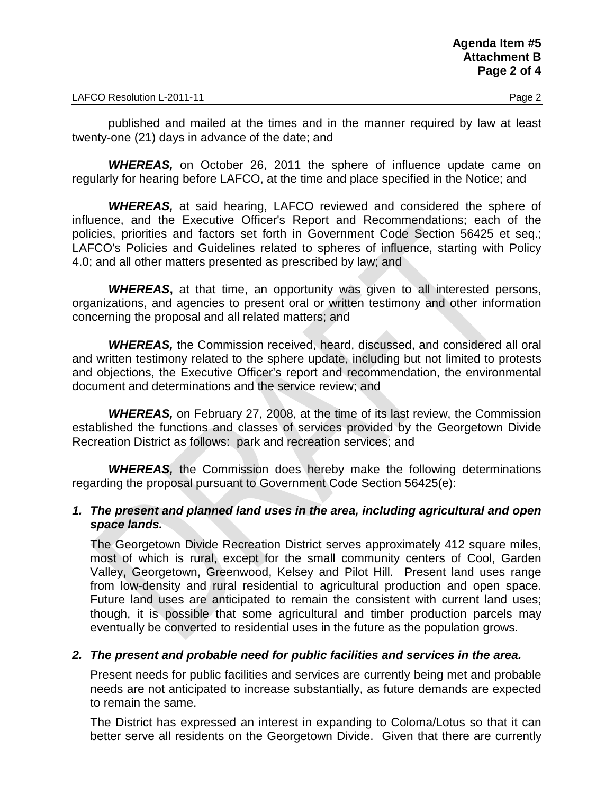published and mailed at the times and in the manner required by law at least twenty-one (21) days in advance of the date; and

**WHEREAS,** on October 26, 2011 the sphere of influence update came on regularly for hearing before LAFCO, at the time and place specified in the Notice; and

**WHEREAS,** at said hearing, LAFCO reviewed and considered the sphere of influence, and the Executive Officer's Report and Recommendations; each of the policies, priorities and factors set forth in Government Code Section 56425 et seq.; LAFCO's Policies and Guidelines related to spheres of influence, starting with Policy 4.0; and all other matters presented as prescribed by law; and

*WHEREAS***,** at that time, an opportunity was given to all interested persons, organizations, and agencies to present oral or written testimony and other information concerning the proposal and all related matters; and

*WHEREAS,* the Commission received, heard, discussed, and considered all oral and written testimony related to the sphere update, including but not limited to protests and objections, the Executive Officer's report and recommendation, the environmental document and determinations and the service review; and

*WHEREAS,* on February 27, 2008, at the time of its last review, the Commission established the functions and classes of services provided by the Georgetown Divide Recreation District as follows: park and recreation services; and

*WHEREAS,* the Commission does hereby make the following determinations regarding the proposal pursuant to Government Code Section 56425(e):

#### *1. The present and planned land uses in the area, including agricultural and open space lands.*

The Georgetown Divide Recreation District serves approximately 412 square miles, most of which is rural, except for the small community centers of Cool, Garden Valley, Georgetown, Greenwood, Kelsey and Pilot Hill. Present land uses range from low-density and rural residential to agricultural production and open space. Future land uses are anticipated to remain the consistent with current land uses; though, it is possible that some agricultural and timber production parcels may eventually be converted to residential uses in the future as the population grows.

#### *2. The present and probable need for public facilities and services in the area.*

Present needs for public facilities and services are currently being met and probable needs are not anticipated to increase substantially, as future demands are expected to remain the same.

The District has expressed an interest in expanding to Coloma/Lotus so that it can better serve all residents on the Georgetown Divide. Given that there are currently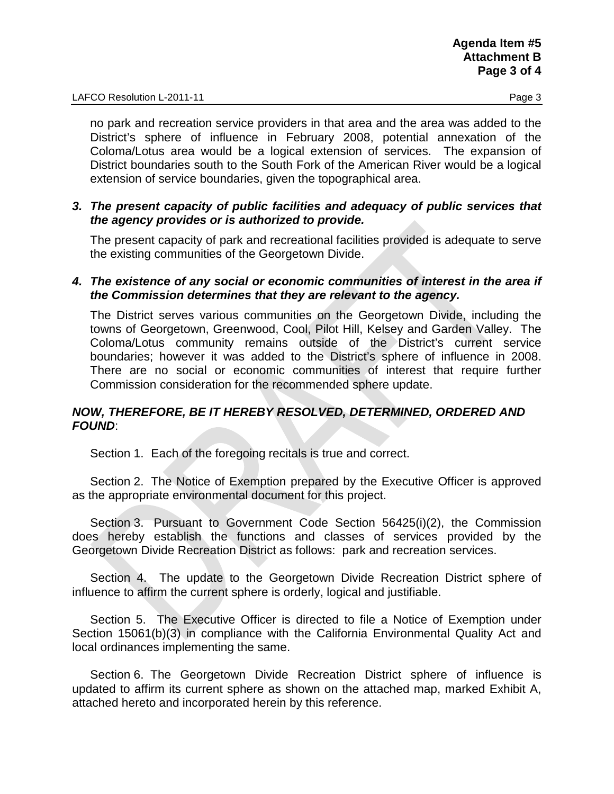no park and recreation service providers in that area and the area was added to the District's sphere of influence in February 2008, potential annexation of the Coloma/Lotus area would be a logical extension of services. The expansion of District boundaries south to the South Fork of the American River would be a logical extension of service boundaries, given the topographical area.

#### *3. The present capacity of public facilities and adequacy of public services that the agency provides or is authorized to provide.*

The present capacity of park and recreational facilities provided is adequate to serve the existing communities of the Georgetown Divide.

#### *4. The existence of any social or economic communities of interest in the area if the Commission determines that they are relevant to the agency.*

The District serves various communities on the Georgetown Divide, including the towns of Georgetown, Greenwood, Cool, Pilot Hill, Kelsey and Garden Valley. The Coloma/Lotus community remains outside of the District's current service boundaries; however it was added to the District's sphere of influence in 2008. There are no social or economic communities of interest that require further Commission consideration for the recommended sphere update.

## *NOW, THEREFORE, BE IT HEREBY RESOLVED, DETERMINED, ORDERED AND FOUND*:

Section 1. Each of the foregoing recitals is true and correct.

Section 2. The Notice of Exemption prepared by the Executive Officer is approved as the appropriate environmental document for this project.

Section 3. Pursuant to Government Code Section 56425(i)(2), the Commission does hereby establish the functions and classes of services provided by the Georgetown Divide Recreation District as follows: park and recreation services.

Section 4. The update to the Georgetown Divide Recreation District sphere of influence to affirm the current sphere is orderly, logical and justifiable.

Section 5. The Executive Officer is directed to file a Notice of Exemption under Section 15061(b)(3) in compliance with the California Environmental Quality Act and local ordinances implementing the same.

Section 6. The Georgetown Divide Recreation District sphere of influence is updated to affirm its current sphere as shown on the attached map, marked Exhibit A, attached hereto and incorporated herein by this reference.